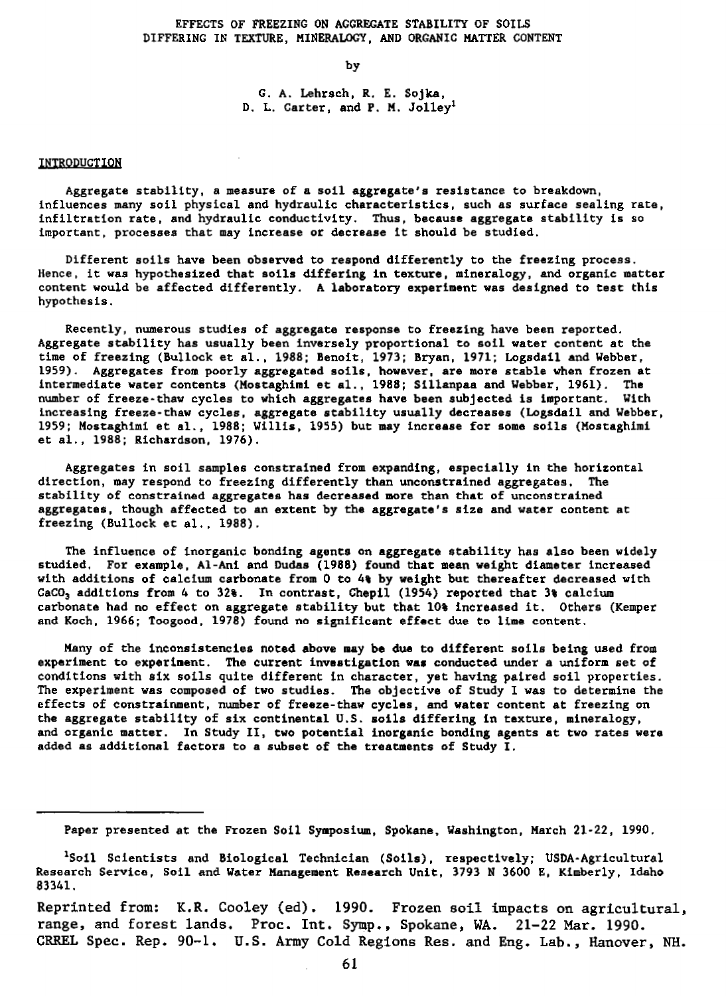# EFFECTS OF FREEZING ON AGGREGATE STABILITY OF SOILS DIFFERING IN TEXTURE, MINERALOGY, AND ORGANIC MATTER CONTENT

by

G. A. Lehrsch, R. E. Sojka, D. L. Carter, and P. M. Jolley<sup>1</sup>

## INTRODUCTION

Aggregate stability, a measure of a soil aggregate's resistance to breakdown, influences many soil physical and hydraulic characteristics, such as surface sealing rate, infiltration rate, and hydraulic conductivity. Thus, because aggregate stability is so important, processes that may increase or decrease it should be studied.

Different soils have been observed to respond differently to the freezing process. Hence, it was hypothesized that **soils** differing **in** texture, mineralogy, and organic matter content would be affected differently. A laboratory experiment was designed to test this hypothesis.

Recently, numerous studies of aggregate response to freezing have been reported. Aggregate stability has usually been inversely proportional to soil water content at the time of freezing (Bullock et al., 1988; Benoit, 1973; Bryan, 1971; Logsdail and Webber, 1959). Aggregates from poorly aggregated soils, however, are more stable when frozen at intermediate water contents (Mostaghimi et al., 1988; Sillanpaa and Webber, 1961). The number of freeze-thaw cycles to which aggregates have been subjected is important. With increasing freeze-thaw cycles, aggregate stability usually decreases (Logsdail and Webber, 1959; Mostaghimi et al., 1988; Willis, 1955) but may increase for some soils (Mostaghimi et al., 1988; Richardson, 1976).

Aggregates in soil samples constrained from expanding, especially in the horizontal direction, may respond to freezing differently than unconstrained aggregates. The stability of constrained aggregates has decreased more than that of unconstrained aggregates, though affected to an extent by the aggregate's size and water content at freezing (Bullock et al., 1988).

The influence of inorganic bonding agents on aggregate stability has also been widely studied, For example, Al-Ani and Dudes (1988) found that mean weight diameter increased with additions of calcium carbonate from 0 to 41 by weight but thereafter decreased with CaCO<sub>3</sub> additions from 4 to 32%. In contrast, Chepil (1954) reported that 3% calcium carbonate had no effect on aggregate stability but that 10% increased it. Others (Kemper and Koch, 1966; Toogood, 1978) found no significant effect due to lime content.

Many of the inconsistencies noted above may be **due to** different soils being used from experiment to experiment. The current investigation was conducted under a uniform set of conditions with six soils quite different in character, yet having paired soil properties. The experiment was composed of two studies. The objective of Study I was to determine the effects of constrainment, number of freeze-thaw cycles, and water content at freezing on the aggregate stability of six continental U.S. soils differing in texture, mineralogy, and organic matter. In Study II, two potential inorganic bonding agents at two rates were added as additional factors to a subset of the treatments of Study I.

Reprinted from: K.R. Cooley (ed). 1990. Frozen soil impacts on agricultural, range, and forest lands. Proc. Int. Symp., Spokane, WA. 21-22 Mar. 1990. CRREL Spec. Rep. 90-1. U.S. Army Cold Regions Res. and Eng. Lab., Hanover, NH.

Paper presented at the Frozen Soil Symposium, Spokane, Washington, March 21-22, 1990.

<sup>&</sup>lt;sup>1</sup>Soil Scientists and Biological Technician (Soils), respectively; USDA-Agricultural Research Service, Soil and Water Management Research Unit, 3793 N 3600 E. Kimberly, Idaho 83341.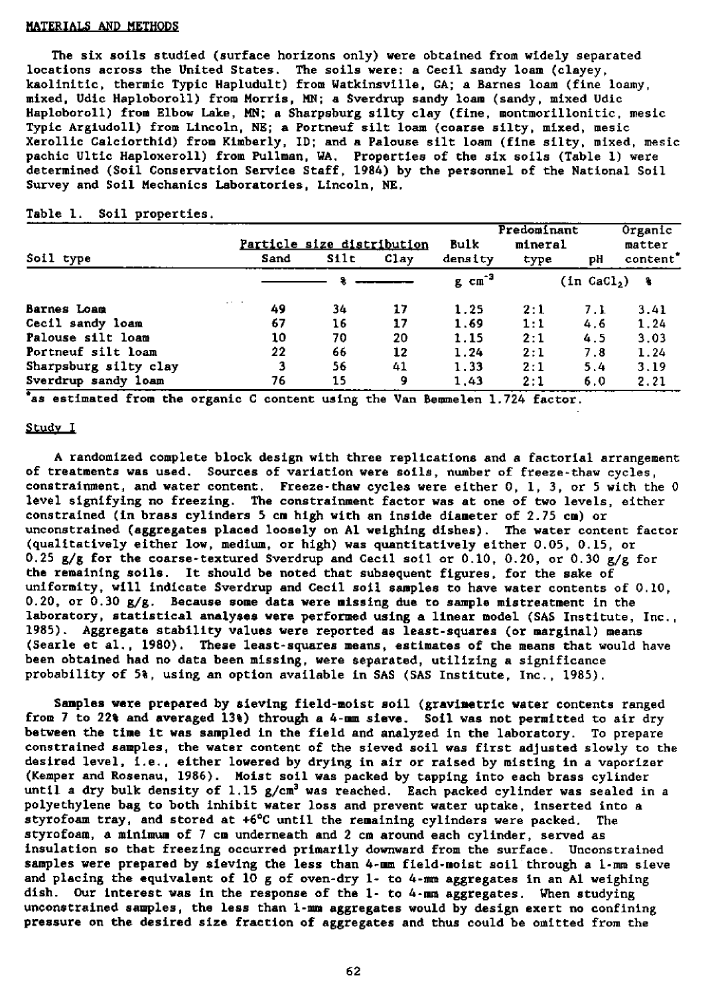#### MATERIALS AND METHODS

The six soils studied (surface horizons only) were obtained from widely separated locations across the United States. The soils were: a Cecil sandy loam (clayey, kaolinitic, thermic Typic Hapludult) from Watkinsville, GA; a Barnes loam (fine loamy, mixed, Udic Haploboroll) from Morris, MN; a Sverdrup sandy loam (sandy, mixed Udic Haploboroll) from Elbow Lake, MN; a Sharpsburg silty clay (fine, montmorillonitic, mesic Typic Argiudoll) from Lincoln, NE; a Portneuf silt loam (coarse silty, mixed, mesic Xerollic Calciorthid) from Kimberly, ID; and a Palouse silt loam (fine silty, mixed, mesic pachic Ultic Haploxeroll) from Pullman, WA. Properties of the six soils (Table 1) were determined (Soil Conservation Service Staff, 1984) by the personnel of the National Soil Survey and Soil Mechanics Laboratories, Lincoln, NE.

# Table 1. Soil properties.

|                       | Particle size distribution |       |      | Bulk                 | Predominant<br>mineral |                | Organic<br>matter    |  |
|-----------------------|----------------------------|-------|------|----------------------|------------------------|----------------|----------------------|--|
| Soil type             | Sand                       | Silt. | Clay | density              | type                   | рH             | content <sup>*</sup> |  |
|                       |                            |       |      | $g$ cm <sup>-3</sup> |                        | $(in$ $CaCl2)$ | - 8                  |  |
| Barnes Loam           | $\cdots$<br>49             | 34    | 17   | 1.25                 | 2:1                    | 7. L           | 3.41                 |  |
| Cecil sandy loam      | 67                         | 16    | 17   | 1.69                 | 1:1                    | 4.6            | 1.24                 |  |
| Palouse silt loam     | 10                         | 70    | 20   | 1.15                 | 2:1                    | 4.5            | 3.03                 |  |
| Portneuf silt loam    | 22                         | 66    | 12   | 1.24                 | 2:1                    | 7.8            | 1.24                 |  |
| Sharpsburg silty clay | 3                          | 56.   | 41   | 1.33                 | 2:1                    | 5.4            | 3.19                 |  |
| Sverdrup sandy loam   | 76                         | 15    | 9    | 1.43                 | 2:1                    | 6.0            | 2.21                 |  |

• as estimated from the organic C content using the Van Bemmelen 1.724 factor.

#### Study I

A randomized complete block design with three replications and a factorial arrangement of treatments was used. Sources of variation were soils, number of freeze-thaw cycles, constrainment, and water content. Freeze-thaw cycles were either 0, 1, 3, or 5 with the 0 level signifying no freezing. The constrainment factor was at one of two levels, either constrained (in brass cylinders 5 cm high with an inside diameter of 2.75 cm) or unconstrained (aggregates placed loosely on Al weighing dishes). The water content factor (qualitatively either low, medium, or high) was quantitatively either 0.05, 0.15, or 0.25 g/g for the coarse-textured Sverdrup and Cecil soil or 0.10, 0.20, or 0.30 g/g for the remaining soils. It should be noted that subsequent figures, for the sake of uniformity, will indicate Sverdrup and Cecil soil samples to have water contents of 0.10, 0.20, or 0.30  $g/g$ . Because some data were missing due to sample mistreatment in the laboratory, statistical analyses were performed using a linear model (SAS Institute, Inc., 1985). Aggregate stability values were reported as least-squares (or marginal) means (Searle at al., 1980). These least-squares means, estimates of the means that would have been obtained had no data been missing, were separated, utilizing a significance probability of 5%, using an option available in SAS (SAS Institute, Inc., 1985).

Samples were prepared by sieving field-moist soil (gravimetric water contents ranged from 7 to 22% and averaged 13%) through a 4-mm sieve. Soil was not permitted to air dry between the time it was sampled in the field and analyzed in the laboratory. To prepare constrained samples, the water content of the sieved soil was first adjusted slowly to the desired level, i.e., either lowered by drying in air or raised by misting in a vaporizer (Kemper and Rosenau, 1986). Moist soil was packed by tapping into each brass cylinder until a dry bulk density of 1.15 g/cm' was reached. Each packed cylinder was sealed in a polyethylene bag to both inhibit water loss and prevent water uptake, inserted into a styrofoam tray, and stored at +6°C until the remaining cylinders were packed. The styrofoam, a minimum of 7 cm underneath and 2 cm around each cylinder, served as insulation so that freezing occurred primarily downward from the surface. Unconstrained samples were prepared by sieving the **less** than 4-mm field-moist soil through a 1-mm sieve and placing the equivalent of  $10$  g of oven-dry 1- to 4-mm aggregates in an Al weighing dish. Our interest was in the response of the 1- to 4-mm aggregates. When studying unconstrained samples, the less than 1-mm aggregates would by design exert no confining pressure on the desired size fraction of aggregates and thus could be omitted from the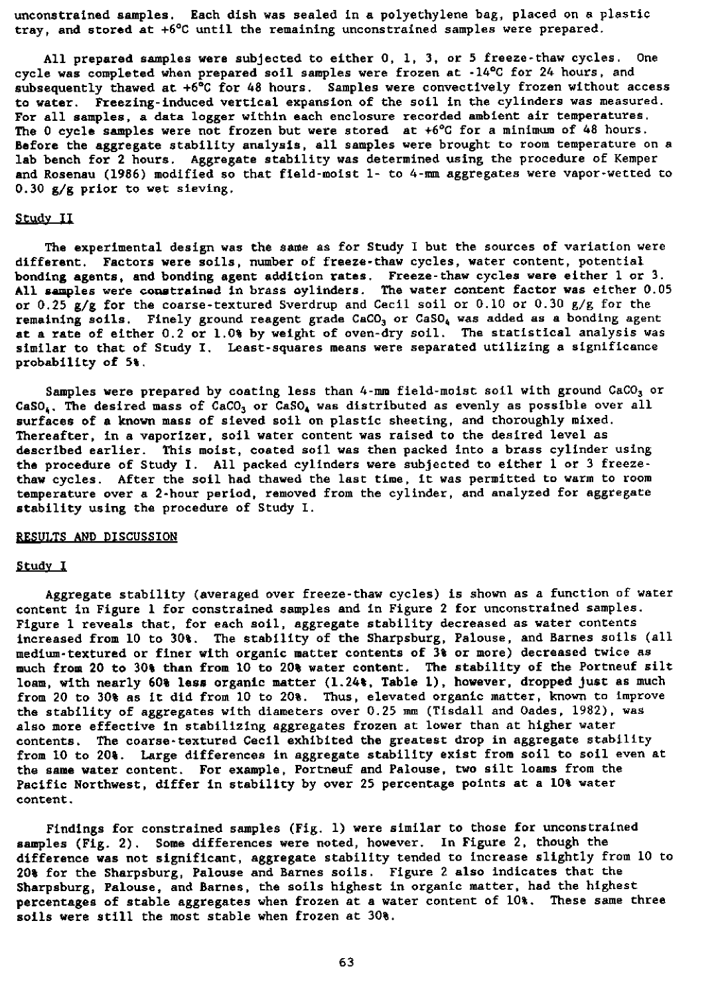unconstrained samples. Each dish was sealed in a polyethylene bag, placed on a plastic tray, and stored at +6°C until the remaining unconstrained samples were prepared.

All prepared samples were subjected to either 0, 1, 3, or 5 freeze-thaw cycles. One cycle was completed when prepared soil samples were frozen at -14°C for 24 hours, and subsequently thawed at +6°C for 48 hours. Samples were convectively frozen without access to water. Freezing-induced vertical expansion of the soil in the cylinders was measured. For all samples, a data logger within each enclosure recorded ambient air temperatures. The 0 cycle samples were not frozen but were stored at +6°C for a minimum of 48 hours. Before the aggregate stability analysis, all samples were brought to room temperature on a lab bench for 2 hours. Aggregate stability was determined using the procedure of Kemper and Rosenau (1986) modified so that field-moist 1- to 4-mm aggregates were vapor-wetted to 0.30 g/g prior to wet sieving.

#### Study II

The experimental design was the same as for Study I but the sources of variation were different. Factors were soils, number of freeze-thaw cycles, water content, potential bonding agents, and bonding agent addition rates. Freeze-thaw cycles were either 1 or 3. All samples were constrained in brass cylinders. The water content factor was either 0.05 or 0.25  $g/g$  for the coarse-textured Sverdrup and Cecil soil or 0.10 or 0.30  $g/g$  for the remaining soils. Finely ground reagent grade CaCO<sub>3</sub> or CaSO<sub>4</sub> was added as a bonding agent at a rate of either 0.2 or 1.0% by weight of oven-dry soil. The statistical analysis was similar to that of Study I. Least-squares means were separated utilizing a significance probability of 5%.

Samples were prepared by coating less than  $4$ -mm field-moist soil with ground CaCO<sub>3</sub> or CaSO<sub>4</sub>. The desired mass of CaCO<sub>3</sub> or CaSO<sub>4</sub> was distributed as evenly as possible over all surfaces of a known mass of sieved soil on plastic sheeting, and thoroughly mixed. Thereafter, in a vaporizer, soil water content was raised to the desired level as described earlier. This moist, coated soil was then packed into a brass cylinder using the procedure of Study I. All packed cylinders were subjected to either 1 or 3 freezethaw cycles. After the soil had thawed the last time, it *was* permitted to warm to room temperature over a 2-hour period, removed from the cylinder, and analyzed for aggregate stability using the procedure of Study I.

# RESULTS AND DISCUSSION

### Study <sup>I</sup>

Aggregate stability (averaged over freeze-thaw cycles) is shown as a function of water content in Figure 1 for constrained samples and in Figure 2 for unconstrained samples. Figure 1 reveals that, for each soil, aggregate stability decreased as water contents increased from 10 to 30%. The stability of the Sharpsburg, Palouse, and Barnes soils (all medium-textured or finer with organic matter contents of 3% or more) decreased twice as much from 20 to 30% than from 10 to 20% water content. The stability of the Portneuf silt loam, with nearly 60% less organic matter (1.24%, Table 1), however, dropped just as much from 20 to 30% as it did from 10 to 20%. Thus, elevated organic matter, known to improve the stability of aggregates with diameters over 0.25 mm (Tisdall and Oades, 1982), was also more effective in stabilizing aggregates frozen at lower than at higher water contents. The coarse-textured Cecil exhibited the greatest drop in aggregate stability from 10 to 20%. Large differences in aggregate stability exist from soil to soil even at the same water content. For example, Portneuf and Palouse, two silt loans from the Pacific Northwest, differ in stability by over 25 percentage points at a 10% water content.

Findings for constrained samples (Fig. 1) were similar to those for unconstrained samples (Fig. 2). Some differences were noted, however. In Figure 2, though the difference was not significant, aggregate stability tended to increase slightly from 10 to 20% for the Sharpsburg, Palouse and Barnes soils. Figure 2 also indicates that the Sharpsburg, Palouse, and Barnes, the soils highest in organic matter, had the highest percentages of stable aggregates when frozen at a water content of 10%. These same three soils were still the most stable when frozen at 30%.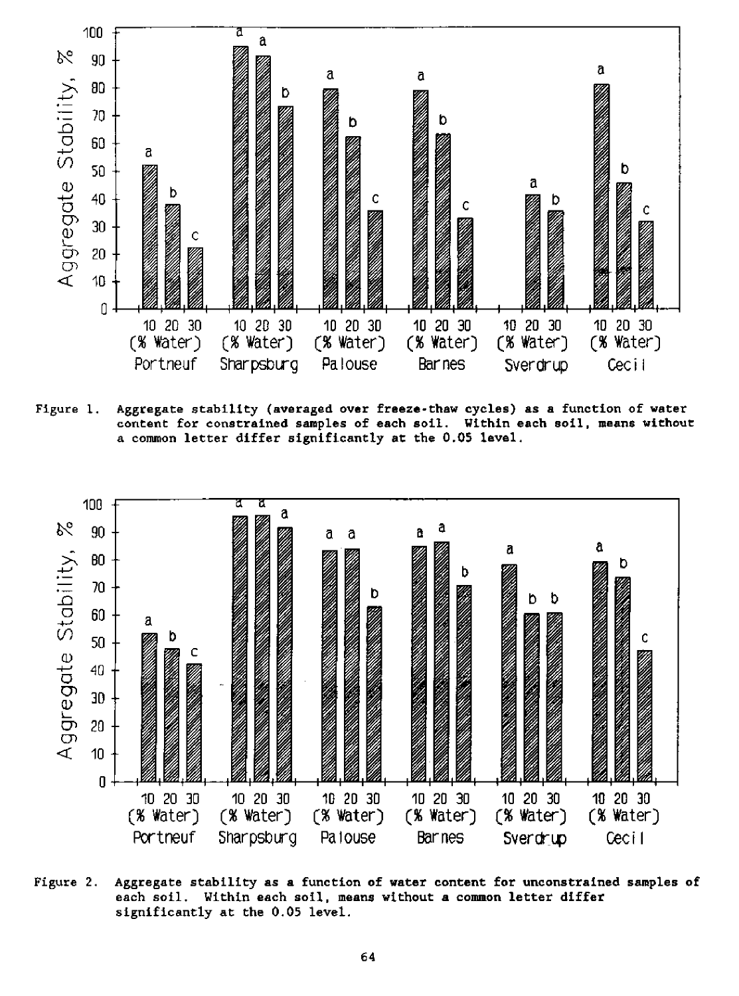

Figure 1. Aggregate stability (averaged over freeze-thaw cycles) as a function of water content for constrained samples of each soil. Within each soil, means without a common letter differ significantly at the 0.05 **level.**



Figure 2. Aggregate stability *as a* function of water content for unconstrained samples of each soil. Within each soil, means without a common letter differ significantly at the 0.05 level.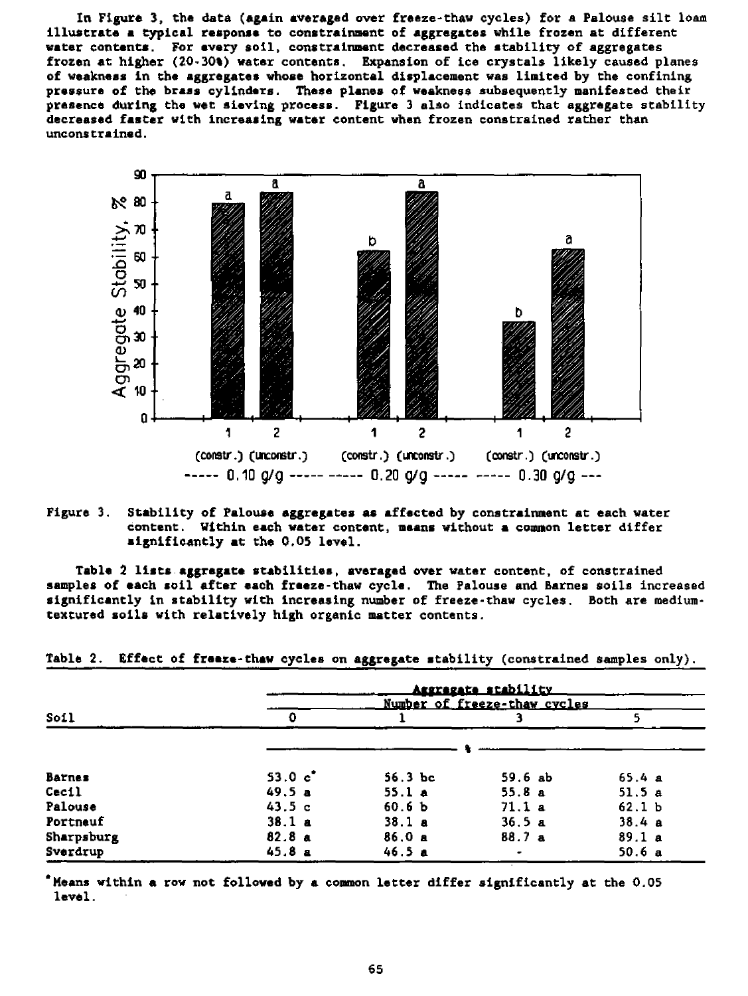In Figure 3, the data (again averaged over freeze-thaw cycles) for a Palouse silt loam illustrate a typical response to constreinment of aggregates while frozen at different water contents. For every soil, constrainment decreased the stability of aggregates frozen at higher (20-30%) water contents. Expansion of ice crystals likely caused planes of weakness in the aggregates whose horizontal displacement was limited by the confining pressure of the brass cylinders. These planes of weakness subsequently manifested their presence during the wet sieving process. Figure 3 also indicates that aggregate stability decreased faster with increasing water content when frozen constrained rather than unconstrained.



Figure 3. Stability of Palouse aggregates as affected by constrainment at each water content. Within each water content, means without a common letter differ significantly at the 0.05 level.

Table 2 lists aggregate stabilities, averaged over water content, of constrained samples of each soil after each freeze-thaw cycle. The Palouse and Barnes soils increased significantly in stability with increasing number of freeze-thaw cycles. Both are mediumtextured soils with relatively high organic matter contents.

| Table 2. Effect of freeze-thaw cycles on aggregate stability (constrained samples only). |  |  |  |  |  |  |  |  |  |  |
|------------------------------------------------------------------------------------------|--|--|--|--|--|--|--|--|--|--|
|------------------------------------------------------------------------------------------|--|--|--|--|--|--|--|--|--|--|

|               | <u>Aggregate stability</u><br>Number of freeze-thaw cycles |                   |        |                   |  |  |  |
|---------------|------------------------------------------------------------|-------------------|--------|-------------------|--|--|--|
| Soil          | Ð                                                          |                   |        |                   |  |  |  |
|               |                                                            |                   |        |                   |  |  |  |
| <b>Barnes</b> | 53.0 $c^*$                                                 | 56.3 bc           | 59.6ab | 65.4a             |  |  |  |
| Cecil         | 49.5a                                                      | 55.1 a            | 55.8a  | 51.5a             |  |  |  |
| Palouse       | 43.5c                                                      | 60.6 <sub>b</sub> | 71.1a  | 62.1 <sub>b</sub> |  |  |  |
| Portneuf      | 38.1a                                                      | 38.1a             | 36.5a  | 38.4a             |  |  |  |
| Sharpsburg    | 82.8a                                                      | 86.0a             | 88.7a  | 89.1a             |  |  |  |
| Sverdrup      | 45.8a                                                      | 46.5a             |        | 50.6a             |  |  |  |

Means within a row not followed by a common letter differ significantly at the 0.05 level.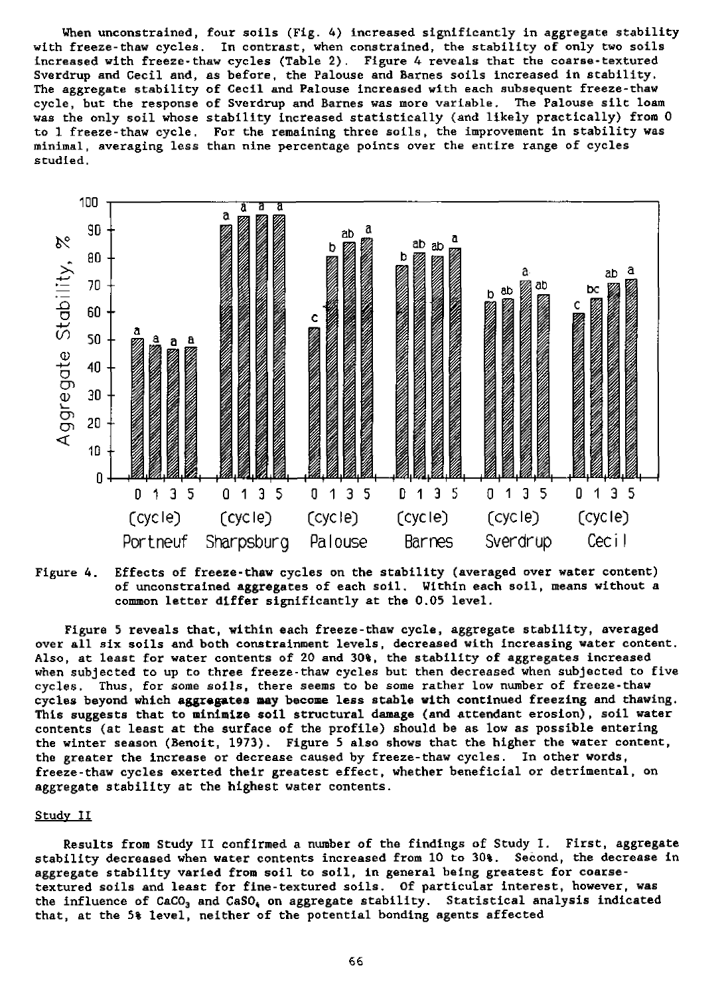When unconstrained, four soils (Fig. 4) increased significantly in aggregate stability with freeze-thaw cycles. In contrast, when constrained, the stability of only two soils increased with freeze-thaw cycles (Table 2). Figure 4 reveals that the coarse-textured Sverdrup and Cecil and, as before, the Palouse and Barnes soils increased in stability. The aggregate stability of Cecil and Palouse increased with each subsequent freeze-thaw cycle, but the response of Sverdrup and Barnes was more variable. The Palouse silt loam was the only soil whose stability increased statistically (and likely practically) from 0 to 1 freeze-thaw cycle. For the remaining three soils, the improvement in stability was minimal, averaging less than nine percentage points over the entire range of cycles studied.



Figure 4. Effects of freeze-thaw cycles on the stability (averaged over water content) of unconstrained aggregates of each soil. Within each soil, means without a common letter differ significantly a t the 0.05 level.

Figure 5 reveals that, within each freeze-thaw cycle, aggregate stability, averaged over all six soils and both constrainment levels, decreased with increasing water content. Also, at least for water contents of 20 and 30%, the stability of aggregates increased when subjected to up to three freeze-thaw cycles but then decreased when subjected to five cycles. Thus, for some soils, there seems to be some rather low number of freeze-thaw cycles beyond which aggregates may become less stable with continued freezing and thawing. This suggests that to minimize soil structural damage (and attendant erosion), soil water contents (at least at the surface of the profile) should be as low as possible entering the winter season (Benoit, 1973). Figure 5 also shows that the higher the water content, the greater the increase or decrease caused by freeze-thaw cycles. In other words, freeze-thaw cycles exerted their greatest effect, whether beneficial or detrimental, on aggregate stability at the highest water contents.

# Study II

Results from Study II confirmed a number of the findings of Study I. First, aggregate stability decreased when water contents increased from 10 to 30%. Second, the decrease in aggregate stability varied from soil to soil, in general being greatest for coarsetextured soils and least for fine-textured soils. Of particular interest, however, was the influence of  $CaCO<sub>3</sub>$  and  $CaSO<sub>4</sub>$  on aggregate stability. Statistical analysis indicated that, at the 5% level, neither of the potential bonding agents affected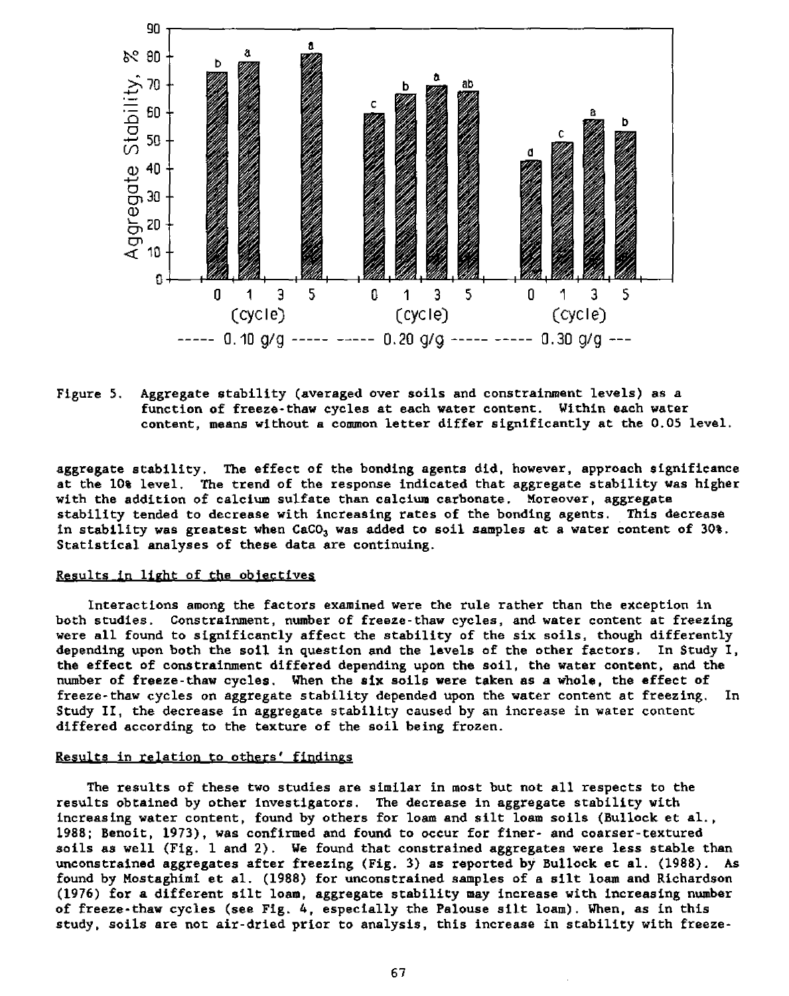

Figure 5. Aggregate stability (averaged over soils and constrainment levels) as a function of freeze-thaw cycles at each water content. Within each water content, means without a common letter differ significantly at the 0.05 level.

aggregate stability. The effect of the bonding agents did, however, approach significance at the 10% level. The trend of the response indicated that aggregate stability was higher with the addition of calcium sulfate than calcium carbonate. Moreover, aggregate stability tended to decrease with increasing rates of the bonding agents. This decrease in stability was greatest when  $CaCO<sub>3</sub>$  was added to soil samples at a water content of 30%. Statistical analyses of these data are continuing.

#### Results in light of the objectives

Interactions among the factors examined were the rule rather than the exception in both studies. Constrainment, number of freeze-thaw cycles, and water content at freezing were all found to significantly affect the stability of the six soils, though differently depending upon both the soil in question and the levels of the other factors. In Study I, the effect of constrainment differed depending upon the soil, the water content, and the number of freeze-thaw cycles. When the **six** soils were taken as a whole, the effect of freeze-thaw cycles on aggregate stability depended upon the water content at freezing. In Study II, the decrease in aggregate stability caused by an increase in water content differed according to the texture of the soil being frozen.

# Results in relation to others' findings

The results of these two studies are similar in most but not all respects to the results obtained by other investigators. The decrease in aggregate stability with increasing water content, found by others for loam and silt loam soils (Bullock et al., 1988; Benoit, 1973), was confirmed and found to occur for finer- and coarser-textured soils as well (Fig. 1 and 2). We found that constrained aggregates were less stable than unconstrained aggregates after freezing (Fig. 3) as reported by Bullock at al. (1988). As found by Mostaghimi et al. (1988) for unconstrained samples of a silt loam and Richardson (1976) for a different silt loam, aggregate stability may increase with increasing number of freeze-thaw cycles (see Fig. 4, especially the Palouse silt loam). When, as in this study, soils are not air-dried prior to analysis, this increase in stability with freeze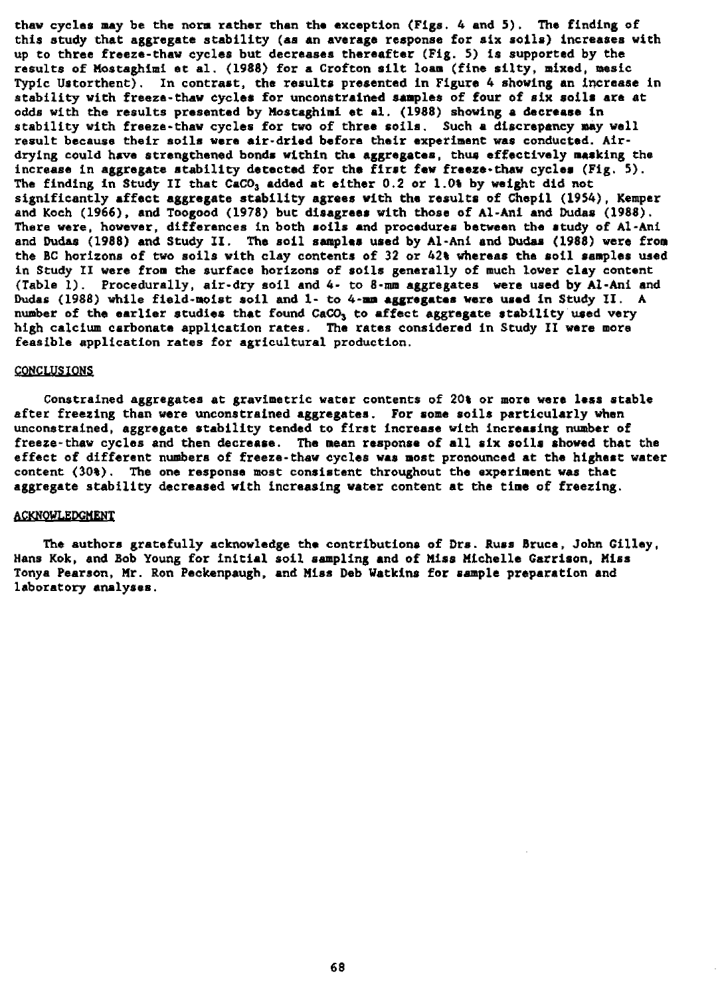thaw cycles may be the norm rather than the exception (Figs. 4 and 5). The finding of this study that aggregate stability (as an average response for six soils) increases with up to three freeze-thaw cycles but decreases thereafter (Fig. 5) is supported by the results of Mostaghimi et al. (1988) for a Crofton silt loam (fine silty, mixed, mesic Typic Ustorthent). In contrast, the results presented in Figure 4 showing an increase in stability with freeze-thaw cycles for unconstrained samples of four of **six** soils are at odds with the results presented by Mostaghimi et al. (1988) showing a decrease in stability with freeze-thaw cycles for two of three soils. Such a discrepancy may well result because their soils were air-dried before their experiment was conducted. Airdrying could have strengthened bonds within the aggregates, thus effectively masking the increase in aggregate stability detected for the first few freeze-thaw cycles (Fig. 5). The finding in Study II that  $CaCO<sub>3</sub>$  added at either 0.2 or 1.04 by weight did not significantly affect aggregate stability agrees with the results of Chepil (1954), Kemper and Koch (1966), and Toogood (1978) but disagrees with those of Al-Ani and Dudes (1988). There were, however, differences in both soils and procedures between the study of Al-Ani and Dudes (1988) and Study II. The soil samples used by Al-Ani and Dudes (1988) were from the BC horizons of two soils with clay contents of 32 or 42% whereas the soil samples used in Study II were from the surface horizons of soils generally of much lower clay content (Table 1). Procedurally, air-dry soil and 4- to 8-mm aggregates were used by Al-Ani **and Dudes** (1988) **while field-moist soil and** 1- to 4-mm aggregates were used in Study /I. A number of the earlier studies that found CaCO<sub>3</sub> to affect aggregate stability used very high calcium carbonate application rates. The rates considered in Study II were more feasible application rates for agricultural production.

### **CONCLUSIONS**

Constrained aggregates at gravimetric water contents of 20% or more were less stable after freezing than were unconstrained aggregates. For some soils particularly when unconstrained, aggregate stability tended to first increase with increasing number of freeze-thaw cycles and then decrease. The mean response of all six soils showed that the effect of different numbers of freeze-thaw cycles was most pronounced at the highest water content (30%). The one response most consistent throughout the experiment was that aggregate stability decreased with increasing water content at the time of freezing.

### ACKNOWLEDGMENT

The authors gratefully acknowledge the contributions of Drs. Russ Bruce, John Gilley, Hans Kok, and Bob Young for initial soil sampling and of Miss Michelle Garrison, Miss Tonya Pearson, Mr. Ron Peckenpaugh, and Miss Deb Watkins for sample preparation and laboratory analyses.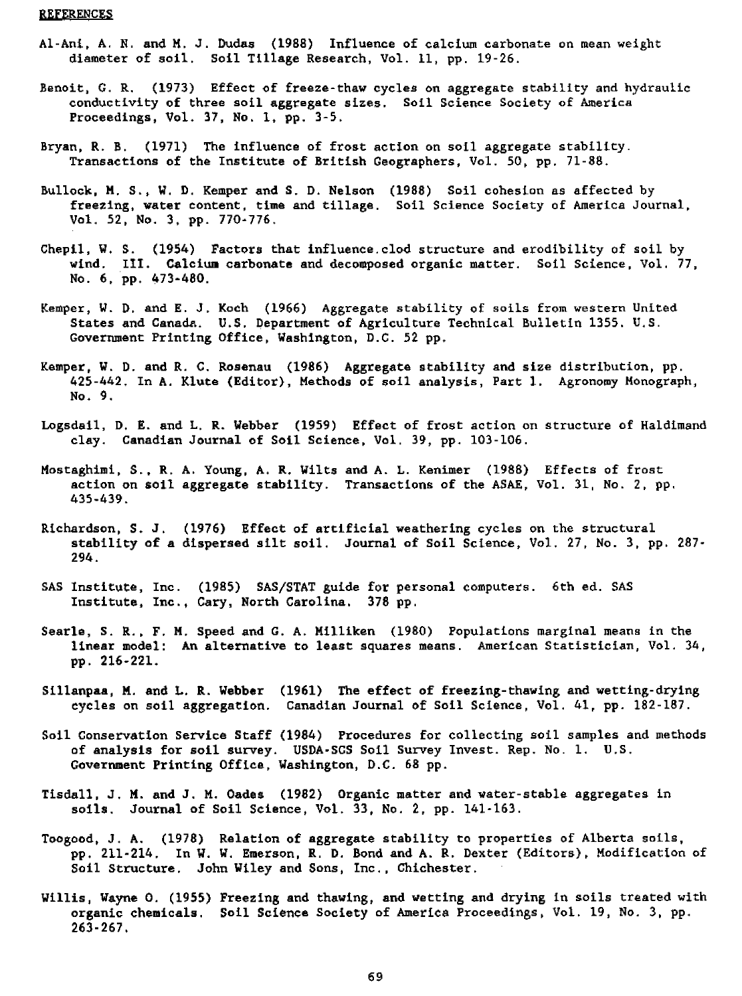#### REFERENCES

- Al-Ani, A. N. and M. J. Dudes (1988) Influence of calcium carbonate on mean weight diameter of soil. Soil Tillage Research, Vol. 11, pp. 19-26.
- Benoit, G. R. (1973) Effect of freeze-thaw cycles on aggregate stability and hydraulic conductivity of three soil aggregate sizes. Soil Science Society of America Proceedings, Vol. 37, No. 1, pp. 3-5.
- Bryan, R. B. (1971) The influence of frost action on soil aggregate stability. Transactions of the Institute of British Geographers, Vol. 50, pp. 71-88.
- Bullock, M. S., W. D. Kemper and S. D. Nelson (1988) Soil cohesion as affected by freezing, water content, time and tillage. Soil Science Society of America Journal, Vol. 52, No. 3, pp. 770-776.
- Chepil, W. S. (1954) Factors that influence.clod structure and erodibility of soil by wind. III. Calcium carbonate and decomposed organic matter. Soil Science, Vol. 77, No. 6, pp. 473-480.
- Kemper, W. D. and E. J. Koch (1966) Aggregate stability of soils from western United States and Canada. U.S. Department of Agriculture Technical Bulletin 1355. U.S. Government Printing Office, Washington, D.C. 52 pp.
- Kemper, W. D. and R. C. Rosenau (1986) Aggregate stability and size distribution, pp. 425-442. In A. Klute (Editor), Methods of soil analysis, Part 1. Agronomy Monograph, No. 9
- Logsdail, D. E. and L. R. Webber (1959) Effect of frost action on structure of Haldimand clay. Canadian Journal of Soil Science, Vol. 39, pp. 103-106.
- Mostaghimi, S., R. A. Young, A. R. Wilts and A. L. Kenimer (1988) Effects of frost action on soil aggregate stability. Transactions of the ASAE, Vol. 31, No. 2, pp. 435-439.
- Richardson, S. J. (1976) Effect of artificial weathering cycles on the structural stability of a dispersed silt soil. Journal of Soil Science, Vol. 27, No. 3, pp. 287- 294.
- SAS Institute, Inc. (1985) SAS/STAT guide for personal computers. 6th ed. SAS Institute, Inc., Cary, North Carolina. 378 pp.
- Searle, S. R., F. M. Speed and G. A. Milliken (1980) Populations marginal means in the linear model: An alternative to least squares means. American Statistician, Vol. 34, pp. 216-221.
- Sillanpaa, M. and L. R. Webber (1961) The effect of freezing-thawing and wetting-drying cycles on soil aggregation. Canadian Journal of Soil Science, Vol. 41, pp. 182-187.
- Soil Conservation Service Staff (1984) Procedures for collecting soil samples and methods of analysis for soil survey. USDA-SCS Soil Survey Invest. Rep. No. 1. U.S. Government Printing Office, Washington, D.C. 68 pp.
- Tisdall, J. M. and J. M. Oades (1982) Organic matter and water-stable aggregates in soils. Journal of Soil Science, Vol. 33, No. 2, pp. 141-163.
- Toogood, J. A. (1978) Relation of aggregate stability to properties of Alberta soils, pp. 211-214. In W. W. Emerson, R. D. Bond and A. R. Dexter (Editors), Modification of Soil Structure. John Wiley and Sons, Inc., Chichester.
- Willis, Wayne O. (1955) Freezing and thawing, and wetting and drying in soils treated with organic chemicals. Soil Science Society of America Proceedings, Vol. 19, No. 3, pp. 263-267.